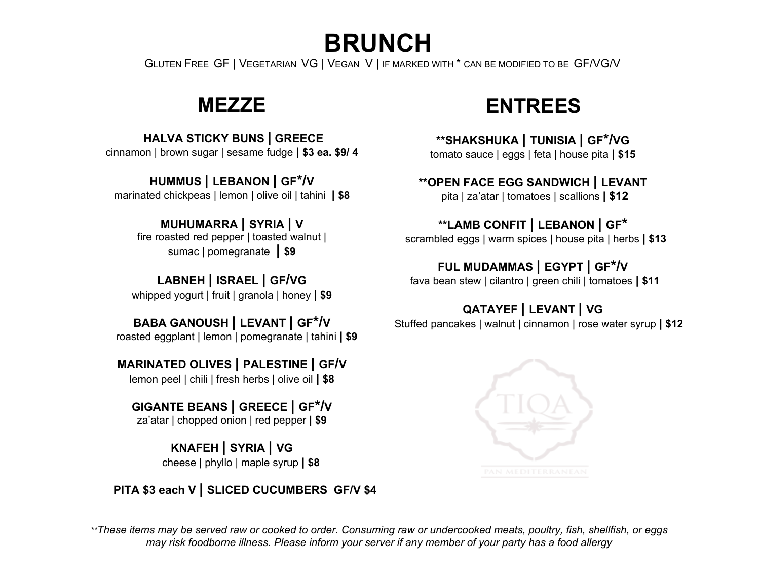**BRUNCH** 

GLUTEN FREE GF | VEGETARIAN VG | VEGAN V | IF MARKED WITH \* CAN BE MODIFIED TO BE GF/VG/V

## **MEZZE**

**HALVA STICKY BUNS | GREECE** cinnamon | brown sugar | sesame fudge **| \$3 ea. \$9/ 4**

**HUMMUS | LEBANON | GF\*/V**  marinated chickpeas | lemon | olive oil | tahini **| \$8**

**MUHUMARRA | SYRIA | V**  fire roasted red pepper | toasted walnut | sumac | pomegranate **| \$9**

**LABNEH | ISRAEL | GF/VG**  whipped yogurt | fruit | granola | honey **| \$9**

**BABA GANOUSH | LEVANT | GF\*/V** roasted eggplant | lemon | pomegranate | tahini **| \$9**

**MARINATED OLIVES | PALESTINE | GF/V**

lemon peel | chili | fresh herbs | olive oil **| \$8**

**GIGANTE BEANS | GREECE | GF\*/V** za'atar | chopped onion | red pepper **| \$9**

> **KNAFEH | SYRIA | VG** cheese | phyllo | maple syrup **| \$8**

 **PITA \$3 each V | SLICED CUCUMBERS GF/V \$4**

## **ENTREES**

**\*\*SHAKSHUKA | TUNISIA | GF\*/VG** tomato sauce | eggs | feta | house pita **| \$15**

**\*\*OPEN FACE EGG SANDWICH | LEVANT**  pita | za'atar | tomatoes | scallions **| \$12**

### **\*\*LAMB CONFIT | LEBANON | GF\***

scrambled eggs | warm spices | house pita | herbs **| \$13**

### **FUL MUDAMMAS | EGYPT | GF\*/V**

fava bean stew | cilantro | green chili | tomatoes **| \$11**

## **QATAYEF | LEVANT | VG**

Stuffed pancakes | walnut | cinnamon | rose water syrup **| \$12**



*\*\*These items may be served raw or cooked to order. Consuming raw or undercooked meats, poultry, fish, shellfish, or eggs may risk foodborne illness. Please inform your server if any member of your party has a food allergy*